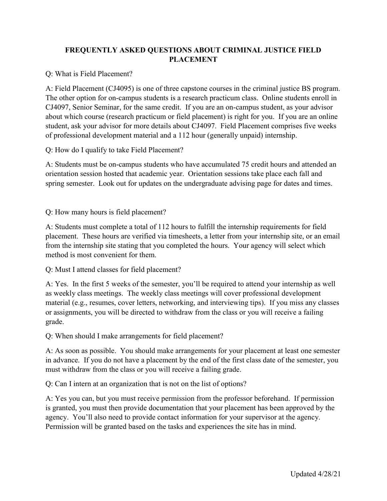## FREQUENTLY ASKED QUESTIONS ABOUT CRIMINAL JUSTICE FIELD PLACEMENT

Q: What is Field Placement?

A: Field Placement (CJ4095) is one of three capstone courses in the criminal justice BS program. The other option for on-campus students is a research practicum class. Online students enroll in CJ4097, Senior Seminar, for the same credit. If you are an on-campus student, as your advisor about which course (research practicum or field placement) is right for you. If you are an online student, ask your advisor for more details about CJ4097. Field Placement comprises five weeks of professional development material and a 112 hour (generally unpaid) internship.

Q: How do I qualify to take Field Placement?

A: Students must be on-campus students who have accumulated 75 credit hours and attended an orientation session hosted that academic year. Orientation sessions take place each fall and spring semester. Look out for updates on the undergraduate advising page for dates and times.

Q: How many hours is field placement?

A: Students must complete a total of 112 hours to fulfill the internship requirements for field placement. These hours are verified via timesheets, a letter from your internship site, or an email from the internship site stating that you completed the hours. Your agency will select which method is most convenient for them.

Q: Must I attend classes for field placement?

A: Yes. In the first 5 weeks of the semester, you'll be required to attend your internship as well as weekly class meetings. The weekly class meetings will cover professional development material (e.g., resumes, cover letters, networking, and interviewing tips). If you miss any classes or assignments, you will be directed to withdraw from the class or you will receive a failing grade.

Q: When should I make arrangements for field placement?

A: As soon as possible. You should make arrangements for your placement at least one semester in advance. If you do not have a placement by the end of the first class date of the semester, you must withdraw from the class or you will receive a failing grade.

Q: Can I intern at an organization that is not on the list of options?

A: Yes you can, but you must receive permission from the professor beforehand. If permission is granted, you must then provide documentation that your placement has been approved by the agency. You'll also need to provide contact information for your supervisor at the agency. Permission will be granted based on the tasks and experiences the site has in mind.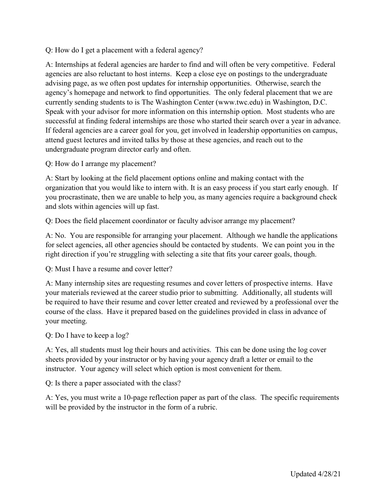Q: How do I get a placement with a federal agency?

A: Internships at federal agencies are harder to find and will often be very competitive. Federal agencies are also reluctant to host interns. Keep a close eye on postings to the undergraduate advising page, as we often post updates for internship opportunities. Otherwise, search the agency's homepage and network to find opportunities. The only federal placement that we are currently sending students to is The Washington Center (www.twc.edu) in Washington, D.C. Speak with your advisor for more information on this internship option. Most students who are successful at finding federal internships are those who started their search over a year in advance. If federal agencies are a career goal for you, get involved in leadership opportunities on campus, attend guest lectures and invited talks by those at these agencies, and reach out to the undergraduate program director early and often.

Q: How do I arrange my placement?

A: Start by looking at the field placement options online and making contact with the organization that you would like to intern with. It is an easy process if you start early enough. If you procrastinate, then we are unable to help you, as many agencies require a background check and slots within agencies will up fast.

Q: Does the field placement coordinator or faculty advisor arrange my placement?

A: No. You are responsible for arranging your placement. Although we handle the applications for select agencies, all other agencies should be contacted by students. We can point you in the right direction if you're struggling with selecting a site that fits your career goals, though.

Q: Must I have a resume and cover letter?

A: Many internship sites are requesting resumes and cover letters of prospective interns. Have your materials reviewed at the career studio prior to submitting. Additionally, all students will be required to have their resume and cover letter created and reviewed by a professional over the course of the class. Have it prepared based on the guidelines provided in class in advance of your meeting.

Q: Do I have to keep a log?

A: Yes, all students must log their hours and activities. This can be done using the log cover sheets provided by your instructor or by having your agency draft a letter or email to the instructor. Your agency will select which option is most convenient for them.

Q: Is there a paper associated with the class?

A: Yes, you must write a 10-page reflection paper as part of the class. The specific requirements will be provided by the instructor in the form of a rubric.